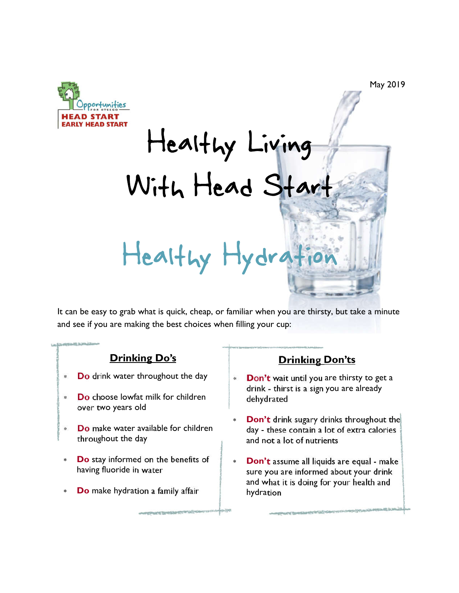

May 2019

Healthy Living With Head Start Healthy Hydra

It can be easy to grab what is quick, cheap, or familiar when you are thirsty, but take a minute and see if you are making the best choices when filling your cup:

## **Drinking Do's**

- **Do** drink water throughout the day
- **Do** choose lowfat milk for children over two years old
- **Do** make water available for children throughout the day
- **Do** stay informed on the benefits of having fluoride in water
- **Do** make hydration a family affair

## **Drinking Don'ts**

- **Don't** wait until you are thirsty to get a drink - thirst is a sign you are already dehydrated
- **Don't** drink sugary drinks throughout the day - these contain a lot of extra calories and not a lot of nutrients
- **Don't** assume all liquids are equal make sure you are informed about your drink and what it is doing for your health and hydration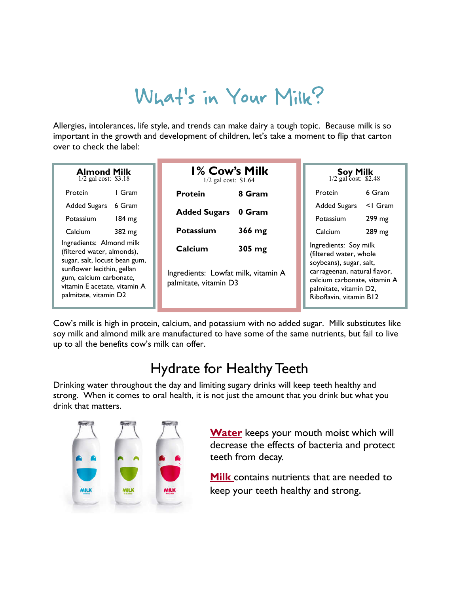# What's in Your Milk?

Allergies, intolerances, life style, and trends can make dairy a tough topic. Because milk is so important in the growth and development of children, let's take a moment to flip that carton over to check the label:

| <b>Almond Milk</b><br>$1/2$ gal cost: \$3.18                                                                                                                                                              | <b>1% Cow's Milk</b><br>$1/2$ gal cost: \$1.64                                              | <b>Soy Milk</b> $1/2$ gal cost: \$2.48                                                                                                                                                          |
|-----------------------------------------------------------------------------------------------------------------------------------------------------------------------------------------------------------|---------------------------------------------------------------------------------------------|-------------------------------------------------------------------------------------------------------------------------------------------------------------------------------------------------|
| I Gram<br><b>Protein</b>                                                                                                                                                                                  | 8 Gram<br><b>Protein</b>                                                                    | 6 Gram<br>Protein                                                                                                                                                                               |
| <b>Added Sugars</b><br>6 Gram                                                                                                                                                                             |                                                                                             | <b>Added Sugars</b><br>$<$ I Gram                                                                                                                                                               |
| $184 \text{ mg}$<br><b>Potassium</b>                                                                                                                                                                      | <b>Added Sugars</b><br>0 Gram                                                               | $299 \text{ mg}$<br><b>Potassium</b>                                                                                                                                                            |
| 382 mg<br><b>Calcium</b>                                                                                                                                                                                  | <b>Potassium</b><br>366 mg                                                                  | 289 mg<br>Calcium                                                                                                                                                                               |
| Ingredients: Almond milk<br>(filtered water, almonds),<br>sugar, salt, locust bean gum,<br>sunflower lecithin, gellan<br>gum, calcium carbonate,<br>vitamin E acetate, vitamin A<br>palmitate, vitamin D2 | Calcium<br>$305 \text{ mg}$<br>Ingredients: Lowfat milk, vitamin A<br>palmitate, vitamin D3 | Ingredients: Soy milk<br>(filtered water, whole<br>soybeans), sugar, salt,<br>carrageenan, natural flavor,<br>calcium carbonate, vitamin A<br>palmitate, vitamin D2,<br>Riboflavin, vitamin B12 |

Cow's milk is high in protein, calcium, and potassium with no added sugar. Milk substitutes like soy milk and almond milk are manufactured to have some of the same nutrients, but fail to live up to all the benefits cow's milk can offer.

# Hydrate for Healthy Teeth

Drinking water throughout the day and limiting sugary drinks will keep teeth healthy and strong. When it comes to oral health, it is not just the amount that you drink but what you drink that matters.



**Water** keeps your mouth moist which will decrease the effects of bacteria and protect teeth from decay.

**Milk** contains nutrients that are needed to keep your teeth healthy and strong.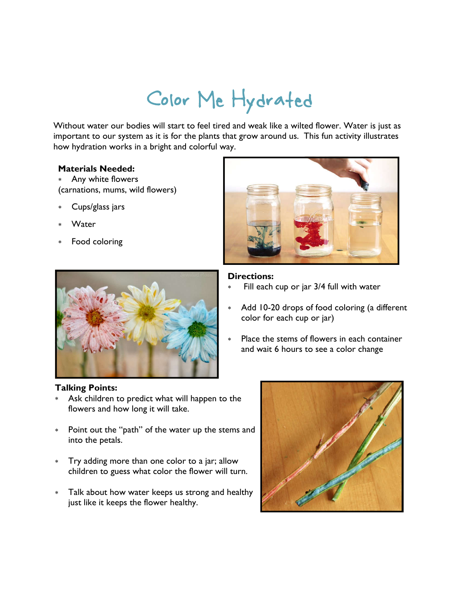# Color Me Hydrated

Without water our bodies will start to feel tired and weak like a wilted flower. Water is just as important to our system as it is for the plants that grow around us. This fun activity illustrates how hydration works in a bright and colorful way.

#### **Materials Needed:**

- Any white flowers (carnations, mums, wild flowers)
- Cups/glass jars
- Water
- Food coloring



## **Directions:**

- Fill each cup or jar 3/4 full with water
- Add 10-20 drops of food coloring (a different color for each cup or jar)
- Place the stems of flowers in each container and wait 6 hours to see a color change



## **Talking Points:**

- Ask children to predict what will happen to the flowers and how long it will take.
- Point out the "path" of the water up the stems and into the petals.
- Try adding more than one color to a jar; allow children to guess what color the flower will turn.
- Talk about how water keeps us strong and healthy just like it keeps the flower healthy.